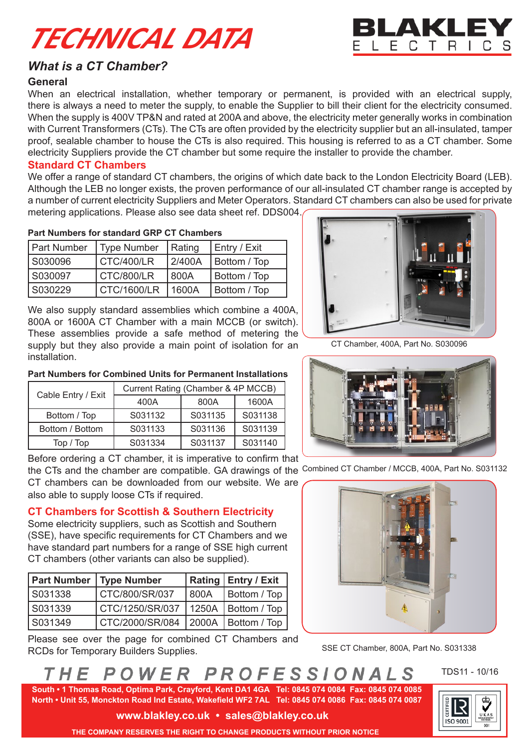# *TECHNICAL DATA*



# *What is a CT Chamber?*

# **General**

When an electrical installation, whether temporary or permanent, is provided with an electrical supply, there is always a need to meter the supply, to enable the Supplier to bill their client for the electricity consumed. When the supply is 400V TP&N and rated at 200A and above, the electricity meter generally works in combination with Current Transformers (CTs). The CTs are often provided by the electricity supplier but an all-insulated, tamper proof, sealable chamber to house the CTs is also required. This housing is referred to as a CT chamber. Some electricity Suppliers provide the CT chamber but some require the installer to provide the chamber.

## **Standard CT Chambers**

We offer a range of standard CT chambers, the origins of which date back to the London Electricity Board (LEB). Although the LEB no longer exists, the proven performance of our all-insulated CT chamber range is accepted by a number of current electricity Suppliers and Meter Operators. Standard CT chambers can also be used for private metering applications. Please also see data sheet ref. DDS004.

1600A

## **Part Numbers for standard GRP CT Chambers**

| <b>Part Number</b> | <b>Type Number</b> | Rating | Entry / Exit |
|--------------------|--------------------|--------|--------------|
| S030096            | CTC/400/LR         | 2/400A | Bottom / Top |
| S030097            | CTC/800/LR         | 800A   | Bottom / Top |
| IS030229           | CTC/1600/LR        | 1600A  | Bottom / Top |

We also supply standard assemblies which combine a 400A, 800A or 1600A CT Chamber with a main MCCB (or switch). These assemblies provide a safe method of metering the supply but they also provide a main point of isolation for an installation.

**Part Numbers for Combined Units for Permanent Installations**

Cable Entry / Exit  $\begin{array}{|c|c|c|c|c|}\n\hline\n\text{Current Rating (Chamber & 4P MCCB)} \\
\hline\n\text{400A} & \text{800A} & \text{1600A}\n\end{array}$ 

Bottom / Top | S031132 | S031135 | S031138 Bottom / Bottom | S031133 | S031136 | S031139 Top / Top | S031334 | S031137 | S031140 Before ordering a CT chamber, it is imperative to confirm that

CT chambers can be downloaded from our website. We are

**CT Chambers for Scottish & Southern Electricity** Some electricity suppliers, such as Scottish and Southern (SSE), have specific requirements for CT Chambers and we have standard part numbers for a range of SSE high current

**Part Number** Type Number | Rating | Entry / Exit S031338 CTC/800/SR/037 800A Bottom / Top S031339 CTC/1250/SR/037 1250A Bottom / Top S031349 | CTC/2000/SR/084 | 2000A | Bottom / Top

Please see over the page for combined CT Chambers and

CT chambers (other variants can also be supplied).

also able to supply loose CTs if required.

RCDs for Temporary Builders Supplies.



CT Chamber, 400A, Part No. S030096



the CTs and the chamber are compatible. GA drawings of the Combined CT Chamber / MCCB, 400A, Part No. S031132



### SSE CT Chamber, 800A, Part No. S031338

#### PROFESSIONALS POWER H F

 **South • 1 Thomas Road, Optima Park, Crayford, Kent DA1 4GA Tel: 0845 074 0084 Fax: 0845 074 0085 North • Unit 55, Monckton Road Ind Estate, Wakefield WF2 7AL Tel: 0845 074 0086 Fax: 0845 074 0087**

TDS11 - 10/16

**ISO 9001** 

**www.blakley.co.uk • sales@blakley.co.uk**

 **THE COMPANY RESERVES THE RIGHT TO CHANGE PRODUCTS WITHOUT PRIOR NOTICE**